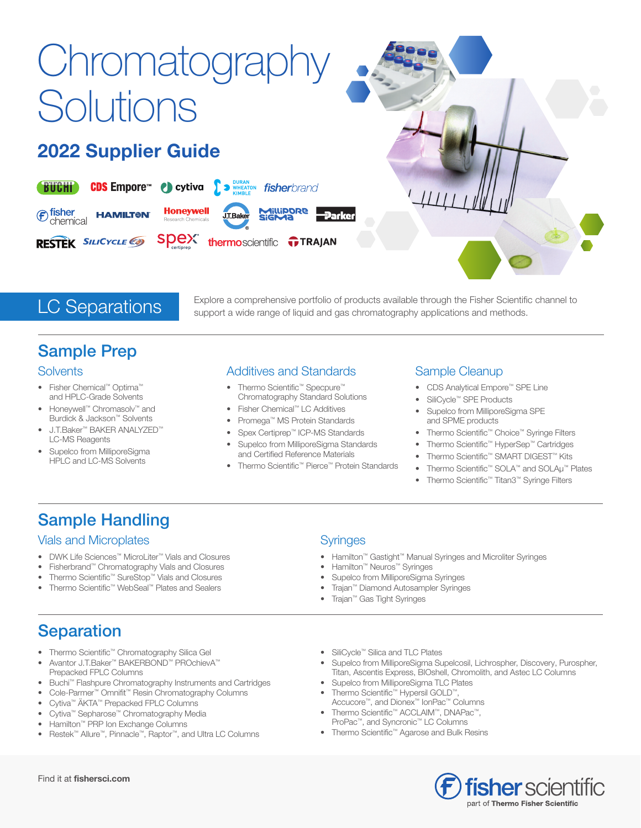# **Chromatography Solutions**

### 2022 Supplier Guide



**LC Separations**<br>
Explore a comprehensive portfolio of products available through the Fisher Scientific channel to<br>
support a wide range of liquid and gas chromatography applications and methods. support a wide range of liquid and gas chromatography applications and methods.

### Sample Prep

#### **Solvents**

- Fisher Chemical™ Optima™ and HPLC-Grade Solvents
- Honeywell™ Chromasolv™ and Burdick & Jackson™ Solvents
- J.T.Baker™ BAKER ANALYZED™ LC-MS Reagents
- Supelco from MilliporeSigma HPLC and LC-MS Solvents

### Additives and Standards

- Thermo Scientific<sup>™</sup> Specpure™ Chromatography Standard Solutions
- Fisher Chemical™ LC Additives
- Promega™ MS Protein Standards
- Spex Certiprep™ ICP-MS Standards • Supelco from MilliporeSigma Standards
- and Certified Reference Materials • Thermo Scientific™ Pierce™ Protein Standards

### Sample Cleanup

- CDS Analytical Empore™ SPE Line
- SiliCycle™ SPE Products
- Supelco from MilliporeSigma SPE and SPME products
- Thermo Scientific™ Choice™ Syringe Filters
- Thermo Scientific™ HyperSep™ Cartridges
- Thermo Scientific™ SMART DIGEST™ Kits
- Thermo Scientific™ SOLA™ and SOLAµ™ Plates
- Thermo Scientific™ Titan3™ Syringe Filters

### Sample Handling

#### Vials and Microplates

- DWK Life Sciences™ MicroLiter™ Vials and Closures
- Fisherbrand™ Chromatography Vials and Closures
- Thermo Scientific™ SureStop™ Vials and Closures
- Thermo Scientific™ WebSeal™ Plates and Sealers

#### Syringes

- Hamilton™ Gastight™ Manual Syringes and Microliter Syringes
- Hamilton™ Neuros™ Syringes
- Supelco from MilliporeSigma Syringes
- Trajan™ Diamond Autosampler Syringes
- Trajan™ Gas Tight Syringes

### **Separation**

- Thermo Scientific™ Chromatography Silica Gel
- Avantor J.T.Baker™ BAKERBOND™ PROchievA™ Prepacked FPLC Columns
- Buchi™ Flashpure Chromatography Instruments and Cartridges
- Cole-Parmer™ Omnifit™ Resin Chromatography Columns
- Cytiva™ ÄKTA™ Prepacked FPLC Columns
- Cytiva™ Sepharose™ Chromatography Media
- Hamilton™ PRP Ion Exchange Columns
- Restek™ Allure™, Pinnacle™, Raptor™, and Ultra LC Columns
- SiliCycle™ Silica and TLC Plates
- Supelco from MilliporeSigma Supelcosil, Lichrospher, Discovery, Purospher, Titan, Ascentis Express, BIOshell, Chromolith, and Astec LC Columns
- Supelco from MilliporeSigma TLC Plates
- Thermo Scientific™ Hypersil GOLD™, Accucore™, and Dionex™ IonPac™ Columns
- Thermo Scientific™ ACCLAIM™, DNAPac™, ProPac™, and Syncronic™ LC Columns
- Thermo Scientific™ Agarose and Bulk Resins